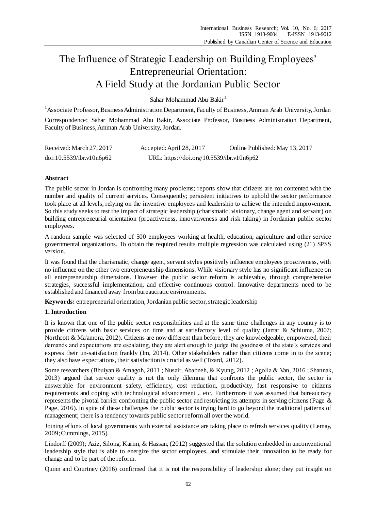# The Influence of Strategic Leadership on Building Employees' Entrepreneurial Orientation: A Field Study at the Jordanian Public Sector

Sahar Mohammad Abu Bakir $<sup>1</sup>$ </sup>

<sup>1</sup> Associate Professor, Business Administration Department, Faculty of Business, Amman Arab University, Jordan Correspondence: Sahar Mohammad Abu Bakir, Associate Professor, Business Administration Department, Faculty of Business, Amman Arab University, Jordan.

| Received: March 27, 2017 | Accepted: April 28, 2017                  | Online Published: May 13, 2017 |
|--------------------------|-------------------------------------------|--------------------------------|
| doi:10.5539/ibr.v10n6p62 | URL: https://doi.org/10.5539/ibr.v10n6p62 |                                |

# **Abstract**

The public sector in Jordan is confronting many problems; reports show that citizens are not contented with the number and quality of current services. Consequently; persistent initiatives to uphold the sector performance took place at all levels, relying on the inventive employees and leadership to achieve the intended improvement. So this study seeks to test the impact of strategic leadership (charismatic, visionary, change agent and servant) on building entrepreneurial orientation (proactiveness, innovativeness and risk taking) in Jordanian public sector employees.

A random sample was selected of 500 employees working at health, education, agriculture and other service governmental organizations. To obtain the required results multiple regression was calculated using (21) SPSS version.

It was found that the charismatic, change agent, servant styles positively influence employees proaciveness, with no influence on the other two entrepreneurship dimensions. While visionary style has no significant influence on all entrepreneurship dimensions. However the public sector reform is achievable, through comprehensive strategies, successful implementation, and effective continuous control. Innovative departments need to be established and financed away from bureaucratic environments.

**Keywords:** entrepreneurial orientation, Jordanian public sector, strategic leadership

# **1. Introduction**

It is known that one of the public sector responsibilities and at the same time challenges in any country is to provide citizens with basic services on time and at satisfactory level of quality (Jarrar & Schiuma, 2007; Northcott & Ma'amora, 2012). Citizens are now different than before, they are knowledgeable, empowered, their demands and expectations are escalating, they are alert enough to judge the goodness of the state's services and express their un-satisfaction frankly (Im, 2014). Other stakeholders rather than citizens come in to the scene; they also have expectations, their satisfaction is crucial as well (Tizard, 2012).

Some researchers (Bhuiyan & Amagoh, 2011 ; Nusair, Ababneh, & Kyung, 2012 ; Agolla & Van, 2016 ; Shannak, 2013) argued that service quality is not the only dilemma that confronts the public sector, the sector is answerable for environment safety, efficiency, cost reduction, productivity, fast responsive to citizens requirements and coping with technological advancement .. etc. Furthermore it was assumed that bureaucracy represents the pivotal barrier confronting the public sector and restricting its attempts in serving citizens (Page & Page, 2016). In spite of these challenges the public sector is trying hard to go beyond the traditional patterns of management; there is a tendency towards public sector reform all over the world.

Joining efforts of local governments with external assistance are taking place to refresh services quality (Lemay, 2009; Cummings, 2015).

Lindorff (2009); Aziz, Silong, Karim, & Hassan, (2012) suggested that the solution embedded in unconventional leadership style that is able to energize the sector employees, and stimulate their innovation to be ready for change and to be part of the reform.

Quinn and Courtney (2016) confirmed that it is not the responsibility of leadership alone; they put insight on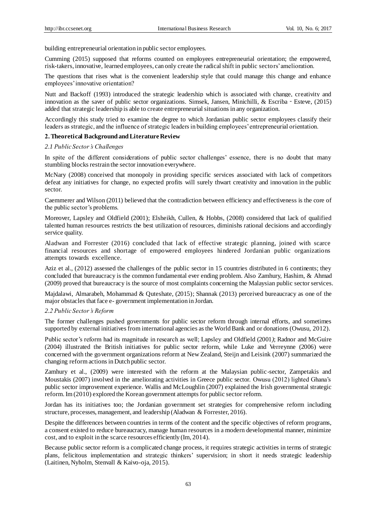building entrepreneurial orientation in public sector employees.

Cumming (2015) supposed that reforms counted on employees entrepreneurial orientation; the empowered, risk-takers, innovative, learned employees, can only create the radical shift in public sectors' amelioration.

The questions that rises what is the convenient leadership style that could manage this change and enhance employees' innovative orientation?

Nutt and Backoff (1993) introduced the strategic leadership which is associated with change, creativity and innovation as the saver of public sector organizations. Simsek, Jansen, Minichilli, & Escriba - Esteve, (2015) added that strategic leadership is able to create entrepreneurial situations in any organization.

Accordingly this study tried to examine the degree to which Jordanian public sector employees classify their leaders as strategic, and the influence of strategic leaders in building employees' entrepreneurial orientation.

# **2.Theoretical Background and Literature Review**

## *2.1 Public Sector's Challenges*

In spite of the different considerations of public sector challenges' essence, there is no doubt that many stumbling blocks restrain the sector innovation everywhere.

McNary (2008) conceived that monopoly in providing specific services associated with lack of competitors defeat any initiatives for change, no expected profits will surely thwart creativity and innovation in the public sector.

Caemmerer and Wilson (2011) believed that the contradiction between efficiency and effectiveness is the core of the public sector's problems.

Moreover, Lapsley and Oldfield (2001); Elsheikh, Cullen, & Hobbs, (2008) considered that lack of qualified talented human resources restricts the best utilization of resources, diminishs rational decisions and accordingly service quality.

[Aladwan](http://www.emeraldinsight.com/author/Aladwan%2C+Shaker+A) and [Forrester](http://www.emeraldinsight.com/author/Forrester%2C+Paul) (2016) concluded that lack of effective strategic planning, joined with scarce financial resources and shortage of empowered employees hindered Jordanian public organizations attempts towards excellence.

Aziz et al., (2012) assessed the challenges of the public sector in 15 countries distributed in 6 continents; they concluded that bureaucracy is the common fundamental ever ending problem. Also Zamhury, Hashim, & Ahmad (2009) proved that bureaucracy is the source of most complaints concerning the Malaysian public sector services.

Majdalawi, Almarabeh, Mohammad & Quteshate, (2015); Shannak (2013) perceived bureaucracy as one of the major obstacles that face e- government implementation in Jordan.

## *2.2 Public Sector's Reform*

The former challenges pushed governments for public sector reform through internal efforts, and sometimes supported by external initiatives from international agencies as the World Bank and or donations (Owusu, 2012).

Public sector's reform had its magnitude in research as well; Lapsley and Oldfield (2001*)*; Radnor and McGuire (2004) illustrated the British initiatives for public sector reform, while Luke and Verreynne (2006) were concerned with the government organizations reform at New Zealand, Steijn and Leisink (2007) summarized the changing reform actions in Dutch public sector.

Zamhury et al., (2009) were interested with the reform at the Malaysian public-sector, Zampetakis and Moustakis (2007) involved in the ameliorating activities in Greece public sector. Owusu (2012) lighted Ghana's public sector improvement experience. Wallis and McLoughlin (2007) explained the Irish governmental strategic reform. Im (2010) explored the Korean government attempts for public sector reform.

Jordan has its initiatives too; the Jordanian government set strategies for comprehensive reform including structure, processes, management, and leadership (Aladwan & Forrester, 2016).

Despite the differences between countries in terms of the content and the specific objectives of reform programs, a consent existed to reduce bureaucracy, manage human resources in a modern developmental manner, minimize cost, and to exploit in the scarce resources efficiently (Im, 2014).

Because public sector reform is a complicated change process, it requires strategic activities in terms of strategic plans, felicitous implementation and strategic thinkers' supervision; in short it needs strategic leadership (Laitinen, Nyholm, Stenvall & Kaivo-oja, 2015).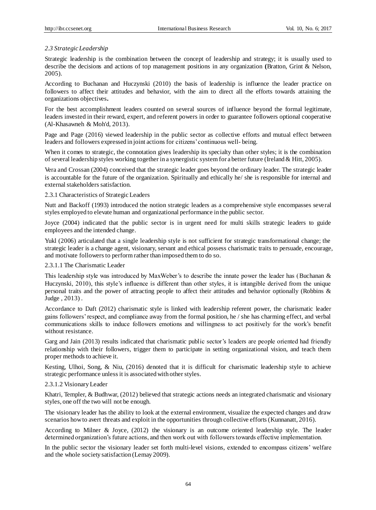## *2.3 Strategic Leadership*

Strategic leadership is the combination between the concept of leadership and strategy; it is usually used to describe the decisions and actions of top management positions in any organization **(**Bratton, Grint & Nelson, 2005).

According to Buchanan and Huczynski (2010) the basis of leadership is influence the leader practice on followers to affect their attitudes and behavior, with the aim to direct all the efforts towards attaining the organizations objectives**.** 

For the best accomplishment leaders counted on several sources of influence beyond the formal legitimate, leaders invested in their reward, expert, and referent powers in order to guarantee followers optional cooperative (Al-Khasawneh & Moh'd, 2013).

Page and Page (2016) viewed leadership in the public sector as collective efforts and mutual effect between leaders and followers expressed in joint actions for citizens' continuous well- being.

When it comes to strategic, the connotation gives leadership its specialty than other styles; it is the combination of several leadership styles working together in a synergistic system for a better future (Ireland & Hitt, 2005).

Vera and Crossan (2004) conceived that the strategic leader goes beyond the ordinary leader. The strategic leader is accountable for the future of the organization. Spiritually and ethically he/ she is responsible for internal and external stakeholders satisfaction.

## 2.3.1 Characteristics of Strategic Leaders

Nutt and Backoff (1993) introduced the notion strategic leaders as a comprehensive style encompasses several styles employed to elevate human and organizational performance in the public sector.

Joyce (2004) indicated that the public sector is in urgent need for multi skills strategic leaders to guide employees and the intended change.

Yukl (2006) articulated that a single leadership style is not sufficient for strategic transformational change; the strategic leader is a change agent, visionary, servant and ethical possess charismatic traits to persuade, encourage, and motivate followers to perform rather than imposed them to do so.

## 2.3.1.1 The Charismatic Leader

This leadership style was introduced by MaxWeber's to describe the innate power the leader has [\(Buchanan](https://www.google.jo/search?tbo=p&tbm=bks&q=inauthor:%22David+A.+Buchanan%22) [&](https://www.google.jo/search?tbo=p&tbm=bks&q=inauthor:%22Andrzej+Huczynski%22) [Huczynski,](https://www.google.jo/search?tbo=p&tbm=bks&q=inauthor:%22Andrzej+Huczynski%22) 2010), this style's influence is different than other styles, it is intangible derived from the unique personal traits and the power of attracting people to affect their attitudes and behavior optionally (Robbins & Judge , 2013) .

Accordance to Daft (2012) charismatic style is linked with leadership referent power, the charismatic leader gains followers' respect, and compliance away from the formal position, he / she has charming effect, and verbal communications skills to induce followers emotions and willingness to act positively for the work's benefit without resistance.

Garg and Jain (2013) results indicated that charismatic public sector's leaders are people oriented had friendly relationship with their followers, trigger them to participate in setting organizational vision, and teach them proper methods to achieve it.

Kesting, Ulhoi, Song, & Niu, (2016) denoted that it is difficult for charismatic leadership style to achieve strategic performance unless it is associated with other styles.

## 2.3.1.2 Visionary Leader

Khatri, Templer, & Budhwar, (2012) believed that strategic actions needs an integrated charismatic and visionary styles, one off the two will not be enough.

The visionary leader has the ability to look at the external environment, visualize the expected changes and draw scenarios how to avert threats and exploit in the opportunities through collective efforts (Kunnanatt, 2016).

According to Milner & Joyce, (2012) the visionary is an outcome oriented leadership style. The leader determined organization's future actions, and then work out with followers towards effective implementation.

In the public sector the visionary leader set forth multi-level visions, extended to encompass citizens' welfare and the whole society satisfaction (Lemay 2009).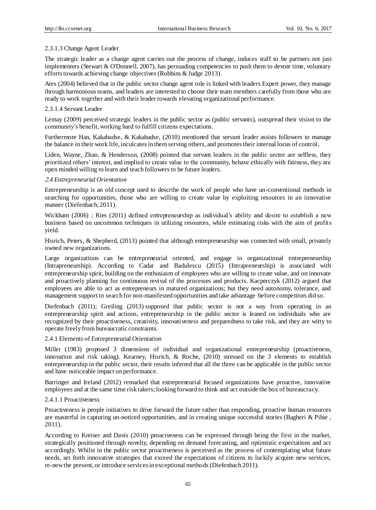## 2.3.1.3 Change Agent Leader

The strategic leader as a change agent carries out the process of change, induces staff to be partners not just implementers (Stewart & O'Donnell, 2007), has persuading competencies to push them to devote time, voluntary efforts towards achieving change objectives (Robbins & Judge 2013).

Ates (2004) believed that in the public sector change agent role is linked with leaders Expert power, they manage through harmonious teams, and leaders are interested to choose their team members carefully from those who are ready to work together and with their leader towards elevating organizational performance.

## 2.3.1.4 Servant Leader

Lemay (2009) perceived strategic leaders in the public sector as (public servants), outspread their vision to the community's benefit, working hard to fulfill citizens expectations.

Furthermore Han, Kakabadse, & Kakabadse, (2010) mentioned that servant leader assists followers to manage the balance in their work life, inculcates in them serving others, and promotes their internal locus of control**.**

Liden, Wayne, Zhao, & Henderson, (2008) pointed that servant leaders in the public sector are selfless, they prioritized others' interest, and implied to create value to the community, behave ethically with fairness, they are open minded willing to learn and teach followers to be future leaders.

## <sup>2</sup>*.4 Entrepreneurial Orientation*

Entrepreneurship is an old concept used to describe the work of people who have un-conventional methods in searching for opportunities, those who are willing to create value by exploiting resources in an innovative manner (Diefenbach, 2011).

Wickham (2006) ; Ries (2011) defined entrepreneurship as individual's ability and desire to establish a new business based on uncommon techniques in utilizing resources, while estimating risks with the aim of profits yield.

Hisrich, Peters, & Shepherd, (2013) pointed that although entrepreneurship was connected with small, privately owned new organizations.

Large organizations can be entrepreneurial oriented, and engage in organizational entrepreneurship (Intrapreneurship). According to Cadar and Badulescu (2015) (Intrapreneurship) is associated with entrepreneurship spirit, building on the enthusiasm of employees who are willing to create value, and on innovate and proactively planning for continuous revival of the processes and products. Kacperczyk (2012) argued that employees are able to act as entrepreneurs in matured organizations; but they need autonomy, tolerance, and management support to search for non-manifested opportunities and take advantage before competitors did so.

Diefenbach (2011); Greiling (2013) supposed that public sector is not a way from operating in an entrepreneurship spirit and actions, entrepreneurship in the public sector is leaned on individuals who are recognized by their proactiveness, creativity, innovativeness and preparedness to take risk, and they are witty to operate freely from bureaucratic constraints.

### 2.4.1 Elements of Entrepreneurial Orientation

Miller (1983) proposed 3 dimensions of individual and organizational entrepreneurship (proactiveness, innovation and risk taking). Kearney, Hisrich, & Roche, (2010) stressed on the 3 elements to establish entrepreneurship in the public sector, their results inferred that all the three can be applicable in the public sector and have noticeable impact on performance.

Barringer and Ireland (2012) remarked that entrepreneurial focused organizations have proactive, innovative employees and at the same time risk takers; looking forward to think and act outside the box of bureaucracy.

## 2.4.1.1 Proactiveness

Proactiveness is people initiatives to drive forward the future rather than responding, proactive human resources are masterful in capturing un-noticed opportunities, and in creating unique successful stories (Bagheri & Pihie , 2011).

According to Kreiser and Davis (2010) proaciveness can be expressed through being the first in the market, strategically positioned through novelty, depending on demand forecasting, and optimistic expectations and act accordingly. Whilst in the public sector proactiveness is perceived as the process of contemplating what future needs, set forth innovative strategies that exceed the expectations of citizens to luckily acquire new services, re-new the present, or introduce services in exceptional methods (Diefenbach 2011).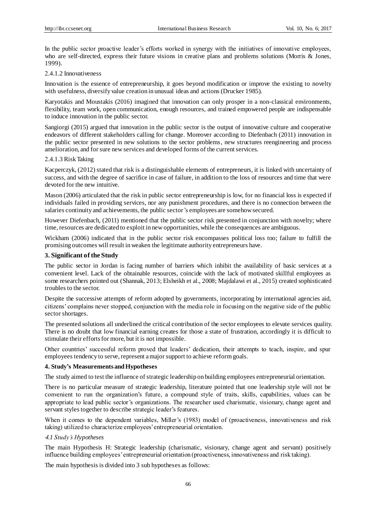In the public sector proactive leader's efforts worked in synergy with the initiatives of innovative employees, who are self-directed, express their future visions in creative plans and problems solutions (Morris & Jones, 1999).

# 2.4.1.2 Innovativeness

Innovation is the essence of entrepreneurship, it goes beyond modification or improve the existing to novelty with usefulness, diversify value creation in unusual ideas and actions (Drucker 1985).

Karyotakis and Moustakis (2016) imagined that innovation can only prosper in a non-classical environments, flexibility, team work, open communication, enough resources, and trained empowered people are indispensable to induce innovation in the public sector.

Sangiorgi (2015) argued that innovation in the public sector is the output of innovative culture and cooperative endeavors of different stakeholders calling for change. Moreover according to Diefenbach (2011) innovation in the public sector presented in new solutions to the sector problems, new structures reengineering and process amelioration, and for sure new services and developed forms of the current services.

# 2.4.1.3 Risk Taking

Kacperczyk, (2012) stated that risk is a distinguishable elements of entrepreneurs, it is linked with uncertainty of success, and with the degree of sacrifice in case of failure, in addition to the loss of resources and time that were devoted for the new intuitive.

Mason (2006) articulated that the risk in public sector entrepreneurship is low, for no financial loss is expected if individuals failed in providing services, nor any punishment procedures, and there is no connection between the salaries continuity and achievements, the public sector's employees are somehow secured.

However Diefenbach, (2011) mentioned that the public sector risk presented in conjunction with novelty; where time, resources are dedicated to exploit in new opportunities, while the consequences are ambiguous.

Wickham (2006) indicated that in the public sector risk encompasses political loss too; failure to fulfill the promising outcomes will result in weaken the legitimate authority entrepreneurs have.

# **3. Significant of the Study**

The public sector in Jordan is facing number of barriers which inhibit the availability of basic services at a convenient level. Lack of the obtainable resources, coincide with the lack of motivated skillful employees as some researchers pointed out (Shannak, 2013; Elsheikh et al., 2008; Majdalawi et al., 2015) created sophisticated troubles to the sector.

Despite the successive attempts of reform adopted by governments, incorporating by international agencies aid, citizens' complains never stopped, conjunction with the media role in focusing on the negative side of the public sector shortages.

The presented solutions all underlined the critical contribution of the sector employees to elevate services quality. There is no doubt that low financial earning creates for those a state of frustration, accordingly it is difficult to stimulate their efforts for more, but it is not impossible.

Other countries' successful reform proved that leaders' dedication, their attempts to teach, inspire, and spur employees tendency to serve, represent a major support to achieve reform goals.

# **4. Study's Measurements and Hypotheses**

The study aimed to test the influence of strategic leadership on building employees entrepreneurial orientation.

There is no particular measure of strategic leadership, literature pointed that one leadership style will not be convenient to run the organization's future, a compound style of traits, skills, capabilities, values can be appropriate to lead public sector's organizations. The researcher used charismatic, visionary, change agent and servant styles together to describe strategic leader's features.

When it comes to the dependent variables, Miller's (1983) model of (proactiveness, innovativeness and risk taking) utilized to characterize employees' entrepreneurial orientation.

# <sup>4</sup>*.1 Study's Hypotheses*

The main Hypothesis H: Strategic leadership (charismatic, visionary, change agent and servant) positively influence building employees' entrepreneurial orientation (proactiveness, innovativeness and risk taking).

The main hypothesis is divided into 3 sub hypotheses as follows: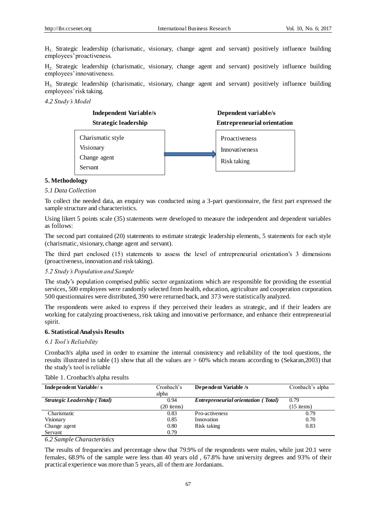H1: Strategic leadership (charismatic, visionary, change agent and servant) positively influence building employees' proactiveness.

H2: Strategic leadership (charismatic, visionary, change agent and servant) positively influence building employees' innovativeness.

H3: Strategic leadership (charismatic, visionary, change agent and servant) positively influence building employees' risk taking.

*4.2 Study's Model* 



## **5. Methodology**

### *5.1 Data Collection*

To collect the needed data, an enquiry was conducted using a 3-part questionnaire, the first part expressed the sample structure and characteristics.

Using likert 5 points scale (35) statements were developed to measure the independent and dependent variables as follows:

The second part contained (20) statements to estimate strategic leadership elements, 5 statements for each style (charismatic, visionary, change agent and servant).

The third part enclosed (15) statements to assess the level of entrepreneurial orientation's 3 dimensions (proactiveness, innovation and risk taking).

### *5.2 Study's Population and Sample*

The study's population comprised public sector organizations which are responsible for providing the essential services, 500 employees were randomly selected from health, education, agriculture and cooperation corporation. 500 questionnaires were distributed, 390 were returned back, and 373 were statistically analyzed.

The respondents were asked to express if they perceived their leaders as strategic, and if their leaders are working for catalyzing proactiveness, risk taking and innovative performance, and enhance their entrepreneurial spirit.

### **6. Statistical Analysis Results**

### *6.1 Tool's Reliability*

Cronbach's alpha used in order to examine the internal consistency and reliability of the tool questions, the results illustrated in table (1) show that all the values are  $> 60\%$  which means according to (Sekaran,2003) that the study's tool is reliable

| Independent Variable/s       | Cronbach's   | <b>Dependent Variable /s</b>               | Cronbach's alpha |
|------------------------------|--------------|--------------------------------------------|------------------|
|                              | alpha        |                                            |                  |
| Strategic Leadership (Total) | 0.94         | <b>Entrepreneurial orientation</b> (Total) | 0.79             |
|                              | $(20$ items) |                                            | $(15$ items)     |
| Charismatic                  | 0.83         | Pro-activeness                             | 0.79             |
| Visionary                    | 0.85         | Innovation                                 | 0.70             |
| Change agent                 | 0.80         | Risk taking                                | 0.83             |
| Servant                      | 0.79         |                                            |                  |

## Table 1. Cronbach's alpha results

*6.2 Sample Characteristics*

The results of frequencies and percentage show that 79.9% of the respondents were males, while just 20.1 were females, 68.9% of the sample were less than 40 years old , 67.8% have university degrees and 93% of their practical experience was more than 5 years, all of them are Jordanians.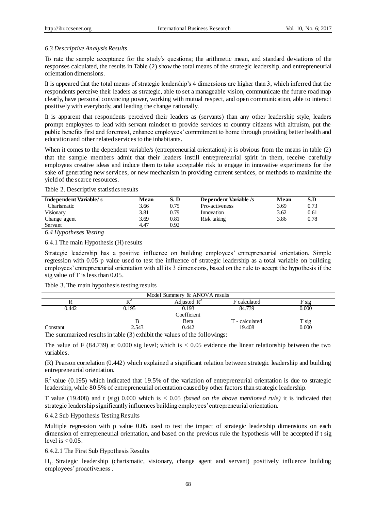## *6.3 Descriptive Analysis Results*

To rate the sample acceptance for the study's questions; the arithmetic mean, and standard deviations of the responses calculated, the results in Table (2) show the total means of the strategic leadership, and entrepreneurial orientation dimensions.

It is appeared that the total means of strategic leadership's 4 dimensions are higher than 3, which inferred that the respondents perceive their leaders as strategic, able to set a manageable vision, communicate the future road map clearly, have personal convincing power, working with mutual respect, and open communication, able to interact positively with everybody, and leading the change rationally.

It is apparent that respondents perceived their leaders as (servants) than any other leadership style, leaders prompt employees to lead with servant mindset to provide services to country citizens with altruism, put the public benefits first and foremost, enhance employees' commitment to home through providing better health and education and other related services to the inhabitants.

When it comes to the dependent variable/s (entrepreneurial orientation) it is obvious from the means in table (2) that the sample members admit that their leaders instill entrepreneurial spirit in them, receive carefully employees creative ideas and induce them to take acceptable risk to engage in innovative experiments for the sake of generating new services, or new mechanism in providing current services, or methods to maximize the yield of the scarce resources.

Table 2. Descriptive statistics results

| <b>Independent Variable/s</b> | Mean | S. D       | Dependent Variable /s | Mean | S.D  |
|-------------------------------|------|------------|-----------------------|------|------|
| Charismatic                   | 3.66 | 0.75       | Pro-activeness        | 3.69 | 0.73 |
| Visionary                     | 3.81 | 0.79       | Innovation            | 3.62 | 0.61 |
| Change agent                  | 3.69 | $\rm 0.81$ | Risk taking           | 3.86 | 0.78 |
| Servant                       | 4.47 | 0.92       |                       |      |      |

*6.4 Hypotheses Testing*

6.4.1 The main Hypothesis (H) results

Strategic leadership has a positive influence on building employees' entrepreneurial orientation. Simple regression with 0.05 p value used to test the influence of strategic leadership as a total variable on building employees' entrepreneurial orientation with all its 3 dimensions, based on the rule to accept the hypothesis if the sig value of T is less than 0.05.

|  |  |  | Table 3. The main hypothesis testing results |  |
|--|--|--|----------------------------------------------|--|
|  |  |  |                                              |  |

| Model Summery & ANOVA results |             |                |                |       |  |  |
|-------------------------------|-------------|----------------|----------------|-------|--|--|
|                               |             | Adjusted $R^2$ | F calculated   | F sig |  |  |
| 0.442                         | 0.195       | 0.193          | 84.739         | 0.000 |  |  |
|                               | Coefficient |                |                |       |  |  |
|                               |             | Beta           | T - calculated | T sig |  |  |
| Constant                      | 2.543       | 0.442          | 19.408         | 0.000 |  |  |

The summarized results in table (3) exhibit the values of the followings:

The value of F (84.739) at 0.000 sig level; which is  $< 0.05$  evidence the linear relationship between the two variables.

(R) Pearson correlation (0.442) which explained a significant relation between strategic leadership and building entrepreneurial orientation.

 $R<sup>2</sup>$  value (0.195) which indicated that 19.5% of the variation of entrepreneurial orientation is due to strategic leadership, while 80.5% of entrepreneurial orientation caused by other factors than strategic leadership.

T value (19.408) and t (sig) 0.000 which is < 0.05 *(based on the above mentioned rule)* it is indicated that strategic leadership significantly influences building employees' entrepreneurial orientation.

6.4.2 Sub Hypothesis Testing Results

Multiple regression with p value 0.05 used to test the impact of strategic leadership dimensions on each dimension of entrepreneurial orientation, and based on the previous rule the hypothesis will be accepted if t sig level is  $< 0.05$ .

6.4.2.1 The First Sub Hypothesis Results

H1: Strategic leadership (charismatic, visionary, change agent and servant) positively influence building employees' proactiveness .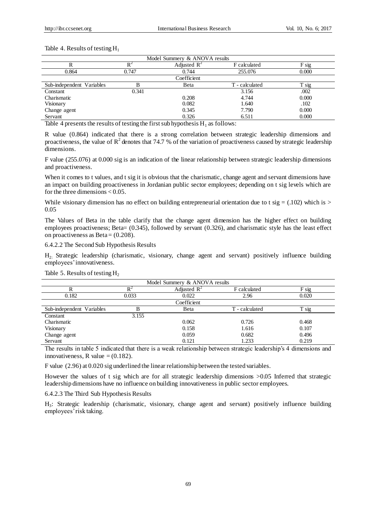# Table 4. Results of testing  $H_1$

| Model Summery & ANOVA results |                |                         |                |       |  |  |
|-------------------------------|----------------|-------------------------|----------------|-------|--|--|
|                               | $\mathsf{R}^4$ | Adjusted $\mathbb{R}^2$ | F calculated   | F sig |  |  |
| 0.864                         | 0.747          | 0.744                   | 255.076        | 0.000 |  |  |
|                               |                | Coefficient             |                |       |  |  |
| Sub-independent Variables     | В              | Beta                    | T - calculated | T sig |  |  |
| Constant                      | 0.341          |                         | 3.156          | .002  |  |  |
| Charismatic                   |                | 0.208                   | 4.744          | 0.000 |  |  |
| Visionary                     |                | 0.082                   | 1.640          | .102  |  |  |
| Change agent                  |                | 0.345                   | 7.790          | 0.000 |  |  |
| Servant                       |                | 0.326                   | 6.511          | 0.000 |  |  |
|                               |                |                         |                |       |  |  |

Table 4 presents the results of testing the first sub hypothesis  $H_1$  as follows:

R value (0.864) indicated that there is a strong correlation between strategic leadership dimensions and proactiveness, the value of  $R^2$  denotes that 74.7 % of the variation of proactiveness caused by strategic leadership dimensions.

F value (255.076) at 0.000 sig is an indication of the linear relationship between strategic leadership dimensions and proactiveness.

When it comes to t values, and t sig it is obvious that the charismatic, change agent and servant dimensions have an impact on building proactiveness in Jordanian public sector employees; depending on t sig levels which are for the three dimensions < 0.05.

While visionary dimension has no effect on building entrepreneurial orientation due to t sig = (.102) which is  $>$ 0.05

The Values of Beta in the table clarify that the change agent dimension has the higher effect on building employees proactiveness; Beta= (0.345), followed by servant (0.326), and charismatic style has the least effect on proactiveness as  $Beta = (0.208)$ .

6.4.2.2 The Second Sub Hypothesis Results

H2: Strategic leadership (charismatic, visionary, change agent and servant) positively influence building employees'innovativeness.

| Model Summery & ANOVA results |       |                         |                |       |  |  |
|-------------------------------|-------|-------------------------|----------------|-------|--|--|
|                               | $R^2$ | Adjusted $\mathbb{R}^2$ | F calculated   | F sig |  |  |
| 0.182                         | 0.033 | 0.022                   | 2.96           | 0.020 |  |  |
|                               |       | Coefficient             |                |       |  |  |
| Sub-independent Variables     | B     | Beta                    | T - calculated | T sig |  |  |
| Constant                      | 3.155 |                         |                |       |  |  |
| Charismatic                   |       | 0.062                   | 0.726          | 0.468 |  |  |
| Visionary                     |       | 0.158                   | 1.616          | 0.107 |  |  |
| Change agent                  |       | 0.059                   | 0.682          | 0.496 |  |  |
| Servant                       |       | 0.121                   | 1.233          | 0.219 |  |  |

#### Table 5. Results of testing  $H_2$

The results in table 5 indicated that there is a weak relationship between strategic leadership's 4 dimensions and innovativeness, R value  $=(0.182)$ .

F value (2.96) at 0.020 sig underlined the linear relationship between the tested variables.

However the values of t sig which are for all strategic leadership dimensions >0.05 Inferred that strategic leadership dimensions have no influence on building innovativeness in public sector employees.

#### 6.4.2.3 The Third Sub Hypothesis Results

H3 : Strategic leadership (charismatic, visionary, change agent and servant) positively influence building employees' risk taking.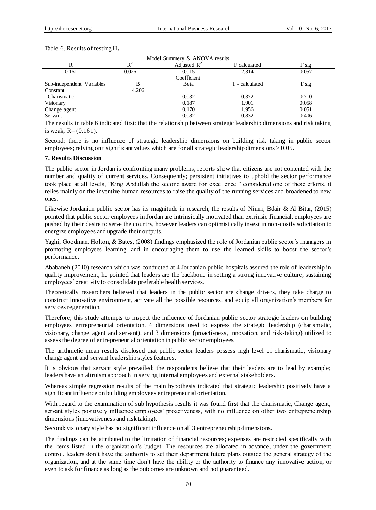Table 6. Results of testing  $H_3$ 

| Model Summery & ANOVA results |                |                      |                |       |  |
|-------------------------------|----------------|----------------------|----------------|-------|--|
| R                             | $\mathrm{R}^2$ | Adjusted $R^2$       | F calculated   | F sig |  |
| 0.161                         | 0.026          | 0.015<br>Coefficient | 2.314          | 0.057 |  |
| Sub-independent Variables     | В              | <b>B</b> eta         | T - calculated | T sig |  |
| Constant                      | 4.206          |                      |                |       |  |
| Charismatic                   |                | 0.032                | 0.372          | 0.710 |  |
| Visionary                     |                | 0.187                | 1.901          | 0.058 |  |
| Change agent                  |                | 0.170                | 1.956          | 0.051 |  |
| Servant                       |                | 0.082                | 0.832          | 0.406 |  |
|                               |                |                      |                | .     |  |

The results in table 6 indicated first: that the relationship between strategic leadership dimensions and risk taking is weak,  $R = (0.161)$ .

Second: there is no influence of strategic leadership dimensions on building risk taking in public sector employees; relying on t significant values which are for all strategic leadership dimensions > 0.05.

# **7. Results Discussion**

The public sector in Jordan is confronting many problems, reports show that citizens are not contented with the number and quality of current services. Consequently; persistent initiatives to uphold the sector performance took place at all levels, "King Abdullah the second award for excellence " considered one of these efforts, it relies mainly on the inventive human resources to raise the quality of the running services and broadened to new ones.

Likewise Jordanian public sector has its magnitude in research; the results of Nimri, Bdair & Al Bitar, (2015) pointed that public sector employees in Jordan are intrinsically motivated than extrinsic financial, employees are pushed by their desire to serve the country, however leaders can optimistically invest in non-costly solicitation to energize employees and upgrade their outputs.

Yaghi, Goodman, Holton, & Bates, (2008) findings emphasized the role of Jordanian public sector's managers in promoting employees learning, and in encouraging them to use the learned skills to boost the sec tor's performance.

Ababaneh (2010) research which was conducted at 4 Jordanian public hospitals assured the role of leadership in quality improvement, he pointed that leaders are the backbone in setting a strong innovative culture, sustaining employees' creativity to consolidate preferable health services.

Theoretically researchers believed that leaders in the public sector are change drivers, they take charge to construct innovative environment, activate all the possible resources, and equip all organization's members for services regeneration.

Therefore; this study attempts to inspect the influence of Jordanian public sector strategic leaders on building employees entrepreneurial orientation. 4 dimensions used to express the strategic leadership (charismatic, visionary, change agent and servant), and 3 dimensions (proactivness, innovation, and risk-taking) utilized to assess the degree of entrepreneurial orientation in public sector employees.

The arithmetic mean results disclosed that public sector leaders possess high level of charismatic, visionary change agent and servant leadership styles features.

It is obvious that servant style prevailed; the respondents believe that their leaders are to lead by example; leaders have an altruism approach in serving internal employees and external stakeholders.

Whereas simple regression results of the main hypothesis indicated that strategic leadership positively have a significant influence on building employees entrepreneurial orientation.

With regard to the examination of sub hypothesis results it was found first that the charismatic, Change agent, servant styles positively influence employees' proactiveness, with no influence on other two entrepreneurship dimensions (innovativeness and risk taking).

Second: visionary style has no significant influence on all 3 entrepreneurship dimensions.

The findings can be attributed to the limitation of financial resources; expenses are restricted specifically with the items listed in the organization's budget. The resources are allocated in advance, under the government control, leaders don't have the authority to set their department future plans outside the general strategy of the organization, and at the same time don't have the ability or the authority to finance any innovative action, or even to ask for finance as long as the outcomes are unknown and not guaranteed.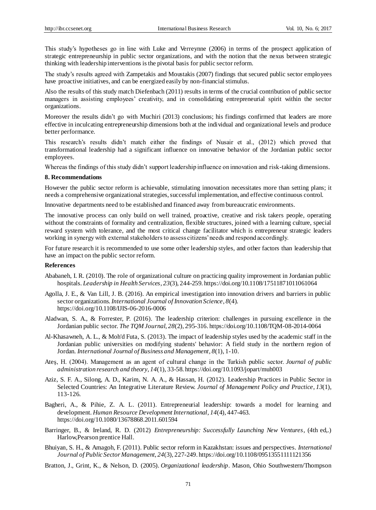This study's hypotheses go in line with Luke and Verreynne (2006) in terms of the prospect application of strategic entrepreneurship in public sector organizations, and with the notion that the nexus between strategic thinking with leadership interventions is the pivotal basis for public sector reform.

The study's results agreed with Zampetakis and Moustakis (2007) findings that secured public sector employees have proactive initiatives, and can be energized easily by non-financial stimulus.

Also the results of this study match Diefenbach (2011) results in terms of the crucial contribution of public sector managers in assisting employees' creativity, and in consolidating entrepreneurial spirit within the sector organizations.

Moreover the results didn't go with Muchiri (2013) conclusions; his findings confirmed that leaders are more effective in inculcating entrepreneurship dimensions both at the individual and organizational levels and produce better performance.

This research's results didn't match either the findings of Nusair et al., (2012) which proved that transformational leadership had a significant influence on innovative behavior of the Jordanian public sector employees.

Whereas the findings of this study didn't support leadership influence on innovation and risk-taking dimensions.

## **8. Recommendations**

However the public sector reform is achievable, stimulating innovation necessitates more than setting plans; it needs a comprehensive organizational strategies, successful implementation, and effective continuous control.

Innovative departments need to be established and financed away from bureaucratic environments.

The innovative process can only build on well trained, proactive, creative and risk takers people, operating without the constraints of formality and centralization, flexible structures, joined with a learning culture, special reward system with tolerance, and the most critical change facilitator which is entrepreneur strategic leaders working in synergy with external stakeholders to assess citizens' needs and respond accordingly.

For future research it is recommended to use some other leadership styles, and other factors than leadership that have an impact on the public sector reform.

# **References**

- Ababaneh, I. R. (2010). The role of organizational culture on practicing quality improvement in Jordanian public hospitals. *Leadership in Health Services*, *23*(3), 244-259. https://doi.org/10.1108/17511871011061064
- Agolla, J. E., & Van Lill, J. B. (2016). An empirical investigation into innovation drivers and barriers in public sector organizations. *International Journal of Innovation Science*, *8*(4). https://doi.org/10.1108/IJIS-06-2016-0006
- Aladwan, S. A., & Forrester, P. (2016). The leadership criterion: challenges in pursuing excellence in the Jordanian public sector. *The TQM Journal*, *28*(2), 295-316. https://doi.org/10.1108/TQM-08-2014-0064
- Al-Khasawneh, A. L., & Moh'd Futa, S. (2013). The impact of leadership styles used by the academic staff in the Jordanian public universities on modifying students' behavior: A field study in the northern region of Jordan. *International Journal of Business and Management*, *8*(1), 1-10.
- Ateş, H. (2004). Management as an agent of cultural change in the Turkish public sector. *Journal of public administration research and theory*, *14*(1), 33-58. https://doi.org/10.1093/jopart/muh003
- Aziz, S. F. A., Silong, A. D., Karim, N. A. A., & Hassan, H. (2012). Leadership Practices in Public Sector in Selected Countries: An Integrative Literature Review. *Journal of Management Policy and Practice*, *13*(1), 113-126.
- Bagheri, A., & Pihie, Z. A. L. (2011). Entrepreneurial leadership: towards a model for learning and development. *Human Resource Development International*, *14*(4), 447-463. https://doi.org/10.1080/13678868.2011.601594
- Barringer, B., & Ireland, R. D. (2012) *Entrepreneurship: Successfully Launching New Ventures*, (4th ed,.) Harlow,Pearson prentice Hall.
- Bhuiyan, S. H., & Amagoh, F. (2011). Public sector reform in Kazakhstan: issues and perspectives. *International Journal of Public Sector Management*, *24*(3), 227-249. https://doi.org/10.1108/09513551111121356
- Bratton, J., Grint, K., & Nelson, D. (2005). *Organizational leadership*. Mason, Ohio Southwestern/Thompson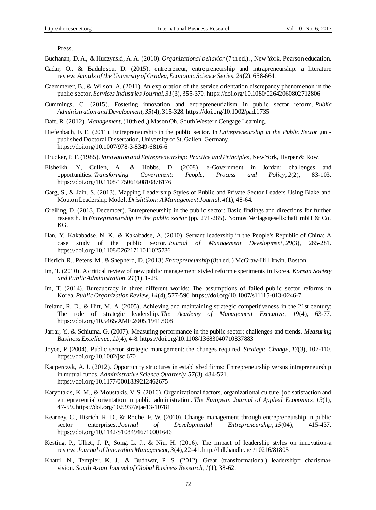Press.

Buchanan, D. A., & Huczynski, A. A. (2010). *Organizational behavior* (7 th ed.). , New York, Pearson education.

- Cadar, O., & Badulescu, D. (2015). entrepreneur, entrepreneurship and intrapreneurship. a literature review. *Annals of the University of Oradea, Economic Science Series*, *24*(2). 658-664.
- Caemmerer, B., & Wilson, A. (2011). An exploration of the service orientation discrepancy phenomenon in the public sector. *Services Industries Journal*, *31*(3), 355-370. https://doi.org/10.1080/02642060802712806
- Cummings, C. (2015). Fostering innovation and entrepreneurialism in public sector reform. *Public Administration and Development*, *35*(4), 315-328. https://doi.org/10.1002/pad.1735
- Daft, R. (2012). *Management*, (10th ed.,) Mason Oh. South Western Cengage Learning.
- Diefenbach, F. E. (2011). Entrepreneurship in the public sector. In *Entrepreneurship in the Public Sector* ,un published Doctoral Dissertation, University of St. Gallen, Germany. https://doi.org/10.1007/978-3-8349-6816-6
- Drucker, P. F. (1985). *Innovation and Entrepreneurship: Practice and Principles*, New York, Harper & Row.
- Elsheikh, Y., Cullen, A., & Hobbs, D. (2008). e-Government in Jordan: challenges and opportunities. *Transforming Government: People, Process and Policy*, *2*(2), 83-103. https://doi.org/10.1108/17506160810876176
- Garg, S., & Jain, S. (2013). Mapping Leadership Styles of Public and Private Sector Leaders Using Blake and Mouton Leadership Model. *Drishtikon: A Management Journal*, *4*(1), 48-64.
- Greiling, D. (2013, December). Entrepreneurship in the public sector: Basic findings and directions for further research. In *Entrepreneurship in the public sector* (pp. 271-285). Nomos Verlagsgesellschaft mbH & Co. KG.
- Han, Y., Kakabadse, N. K., & Kakabadse, A. (2010). Servant leadership in the People's Republic of China: A case study of the public sector. *Journal of Management Development*, *29*(3), 265-281. https://doi.org/10.1108/02621711011025786
- Hisrich, R., Peters, M., & Shepherd, D. (2013) *Entrepreneurship* (8th ed.,) McGraw-Hill Irwin, Boston.
- Im, T. (2010). A critical review of new public management styled reform experiments in Korea. *Korean Society and Public Administration*, *21*(1), 1-28.
- Im, T. (2014). Bureaucracy in three different worlds: The assumptions of failed public sector reforms in Korea. *Public Organization Review*, *14*(4), 577-596. https://doi.org/10.1007/s11115-013-0246-7
- Ireland, R. D., & Hitt, M. A. (2005). Achieving and maintaining strategic competitiveness in the 21st century: The role of strategic leadership. *The Academy of Management Executive*, *19*(4), 63-77. https://doi.org/10.5465/AME.2005.19417908
- Jarrar, Y., & Schiuma, G. (2007). Measuring performance in the public sector: challenges and trends. *Measuring BusinessExcellence*, *11*(4), 4-8. https://doi.org/10.1108/13683040710837883
- Joyce, P. (2004). Public sector strategic management: the changes required. *Strategic Change*, *13*(3), 107-110. https://doi.org/10.1002/jsc.670
- Kacperczyk, A. J. (2012). Opportunity structures in established firms: Entrepreneurship versus intrapreneurship in mutual funds. *Administrative Science Quarterly, 57*(3), 484-521. https://doi.org/10.1177/0001839212462675
- Karyotakis, K. M., & Moustakis, V. S. (2016). Organizational factors, organizational culture, job satisfaction and entrepreneurial orientation in public administration. *The European Journal of Applied Economics*, *13*(1), 47-59. https://doi.org/10.5937/ejae13-10781
- Kearney, C., Hisrich, R. D., & Roche, F. W. (2010). Change management through entrepreneurship in public sector enterprises. *Journal of Developmental Entrepreneurship*, *15*(04), 415-437. https://doi.org/10.1142/S1084946710001646
- Kesting, P., Ulhøi, J. P., Song, L. J., & Niu, H. (2016). The impact of leadership styles on innovation-a review. *Journal of Innovation Management*, *3*(4), 22-41[. http://hdl.handle.net/10216/81805](http://hdl.handle.net/10216/81805)
- Khatri, N., Templer, K. J., & Budhwar, P. S. (2012). Great (transformational) leadership= charisma+ vision. *South Asian Journal of Global Business Research*, *1*(1), 38-62.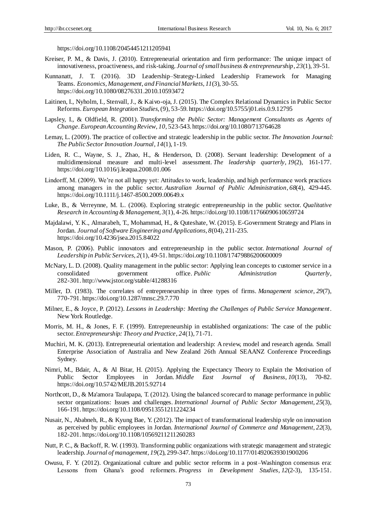https://doi.org/10.1108/20454451211205941

- Kreiser, P. M., & Davis, J. (2010). Entrepreneurial orientation and firm performance: The unique impact of innovativeness, proactiveness, and risk-taking. *Journal of small business & entrepreneurship*, *23*(1), 39-51.
- Kunnanatt, J. T. (2016). 3D Leadership–Strategy-Linked Leadership Framework for Managing Teams. *Economics, Management, and Financial Markets*, *11*(3), 30-55. https://doi.org/10.1080/08276331.2010.10593472
- Laitinen, I., Nyholm, I., Stenvall, J., & Kaivo-oja, J. (2015). The Complex Relational Dynamics in Public Sector Reforms. *European Integration Studies*, (9), 53-59. https://doi.org/10.5755/j01.eis.0.9.12795
- Lapsley, I., & Oldfield, R. (2001). *Transforming the Public Sector: Management Consultants as Agents of Change*. *European Accounting Review*, *10*, 523-543. https://doi.org/10.1080/713764628
- Lemay, L. (2009). The practice of collective and strategic leadership in the public sector. *The Innovation Journal: The Public Sector Innovation Journal*, *14*(1), 1-19.
- Liden, R. C., Wayne, S. J., Zhao, H., & Henderson, D. (2008). Servant leadership: Development of a multidimensional measure and multi-level assessment. *The leadership quarterly*, *19*(2), 161-177. https://doi.org/10.1016/j.leaqua.2008.01.006
- Lindorff, M. (2009). We're not all happy yet: Attitudes to work, leadership, and high performance work practices among managers in the public sector. *Australian Journal of Public Administration*, *68*(4), 429-445. https://doi.org/10.1111/j.1467-8500.2009.00649.x
- Luke, B., & Verreynne, M. L. (2006). Exploring strategic entrepreneurship in the public sector. *Qualitative Research in Accounting & Management*, *3*(1), 4-26. https://doi.org/10.1108/11766090610659724
- Majdalawi, Y. K., Almarabeh, T., Mohammad, H., & Quteshate, W. (2015). E-Government Strategy and Plans in Jordan. *Journal of Software Engineering and Applications*, *8*(04), 211-235. https://doi.org/10.4236/jsea.2015.84022
- Mason, P. (2006). Public innovators and entrepreneurship in the public sector. *International Journal of Leadership in Public Services*, *2*(1), 49-51. https://doi.org/10.1108/17479886200600009
- McNary, L. D. (2008). Quality management in the public sector: Applying lean concepts to customer service in a consolidated government office. *Public Administration Quarterly*, 282-301. http://www.jstor.org/stable/41288316
- Miller, D. (1983). The correlates of entrepreneurship in three types of firms. *Management science*, *29*(7), 770-791. https://doi.org/10.1287/mnsc.29.7.770
- Milner, E., & Joyce, P. (2012). *Lessons in Leadership: Meeting the Challenges of Public Service Management*. New York Routledge.
- Morris, M. H., & Jones, F. F. (1999). Entrepreneurship in established organizations: The case of the public sector. *Entrepreneurship: Theory and Practice*, *24*(1), 71-71.
- Muchiri, M. K. (2013). Entrepreneurial orientation and leadership: A review, model and research agenda. Small Enterprise Association of Australia and New Zealand 26th Annual SEAANZ Conference Proceedings Sydney.
- Nimri, M., Bdair, A., & Al Bitar, H. (2015). Applying the Expectancy Theory to Explain the Motivation of Public Sector Employees in Jordan. *Middle East Journal of Business*, *10*(13), 70-82. https://doi.org/10.5742/MEJB.2015.92714
- Northcott, D., & Ma'amora Taulapapa, T. (2012). Using the balanced scorecard to manage performance in public sector organizations: Issues and challenges. *International Journal of Public Sector Management*, *25*(3), 166-191. https://doi.org/10.1108/09513551211224234
- Nusair, N., Ababneh, R., & Kyung Bae, Y. (2012). The impact of transformational leadership style on innovation as perceived by public employees in Jordan. *International Journal of Commerce and Management*, *22*(3), 182-201. https://doi.org/10.1108/10569211211260283
- Nutt, P. C., & Backoff, R. W. (1993). Transforming public organizations with strategic management and strategic leadership. *Journal of management*, *19*(2), 299-347. https://doi.org/10.1177/014920639301900206
- Owusu, F. Y. (2012). Organizational culture and public sector reforms in a post–Washington consensus era: Lessons from Ghana's good reformers. *Progress in Development Studies*, *12*(2-3), 135-151.